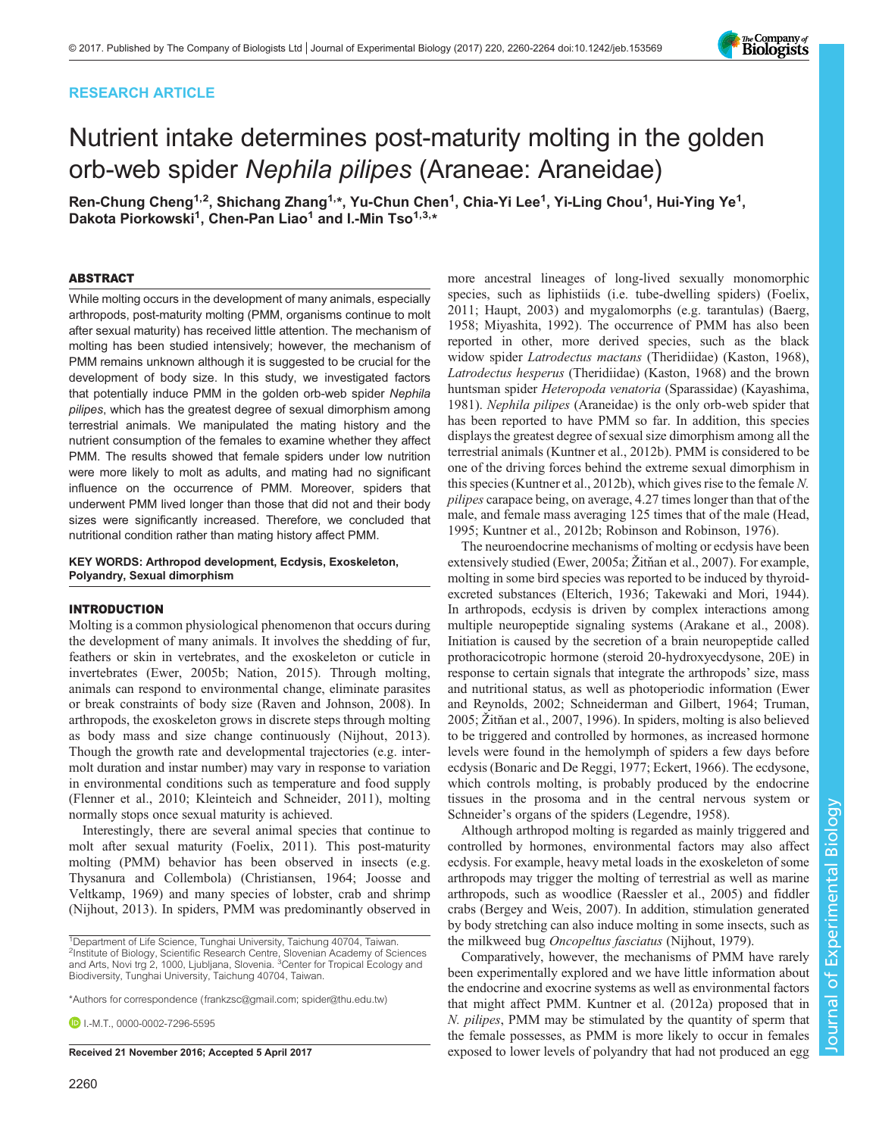# RESEARCH ARTICLE

# Nutrient intake determines post-maturity molting in the golden orb-web spider Nephila pilipes (Araneae: Araneidae)

Ren-Chung Cheng<sup>1,2</sup>, Shichang Zhang<sup>1,</sup>\*, Yu-Chun Chen<sup>1</sup>, Chia-Yi Lee<sup>1</sup>, Yi-Ling Chou<sup>1</sup>, Hui-Ying Ye<sup>1</sup>, Dakota Piorkowski<sup>1</sup>, Chen-Pan Liao<sup>1</sup> and I.-Min Tso<sup>1,3,</sup>\*

#### ABSTRACT

While molting occurs in the development of many animals, especially arthropods, post-maturity molting (PMM, organisms continue to molt after sexual maturity) has received little attention. The mechanism of molting has been studied intensively; however, the mechanism of PMM remains unknown although it is suggested to be crucial for the development of body size. In this study, we investigated factors that potentially induce PMM in the golden orb-web spider Nephila pilipes, which has the greatest degree of sexual dimorphism among terrestrial animals. We manipulated the mating history and the nutrient consumption of the females to examine whether they affect PMM. The results showed that female spiders under low nutrition were more likely to molt as adults, and mating had no significant influence on the occurrence of PMM. Moreover, spiders that underwent PMM lived longer than those that did not and their body sizes were significantly increased. Therefore, we concluded that nutritional condition rather than mating history affect PMM.

# KEY WORDS: Arthropod development, Ecdysis, Exoskeleton, Polyandry, Sexual dimorphism

#### INTRODUCTION

Molting is a common physiological phenomenon that occurs during the development of many animals. It involves the shedding of fur, feathers or skin in vertebrates, and the exoskeleton or cuticle in invertebrates ([Ewer, 2005b; Nation, 2015](#page-4-0)). Through molting, animals can respond to environmental change, eliminate parasites or break constraints of body size [\(Raven and Johnson, 2008](#page-4-0)). In arthropods, the exoskeleton grows in discrete steps through molting as body mass and size change continuously ([Nijhout, 2013\)](#page-4-0). Though the growth rate and developmental trajectories (e.g. intermolt duration and instar number) may vary in response to variation in environmental conditions such as temperature and food supply [\(Flenner et al., 2010; Kleinteich and Schneider, 2011\)](#page-4-0), molting normally stops once sexual maturity is achieved.

Interestingly, there are several animal species that continue to molt after sexual maturity [\(Foelix, 2011\)](#page-4-0). This post-maturity molting (PMM) behavior has been observed in insects (e.g. Thysanura and Collembola) ([Christiansen, 1964; Joosse and](#page-4-0) [Veltkamp, 1969\)](#page-4-0) and many species of lobster, crab and shrimp [\(Nijhout, 2013](#page-4-0)). In spiders, PMM was predominantly observed in

\*Authors for correspondence ([frankzsc@gmail.com](mailto:frankzsc@gmail.com); [spider@thu.edu.tw\)](mailto:spider@thu.edu.tw)

**DI-M.T.** [0000-0002-7296-5595](http://orcid.org/0000-0002-7296-5595)

2260

more ancestral lineages of long-lived sexually monomorphic species, such as liphistiids (i.e. tube-dwelling spiders) ([Foelix,](#page-4-0) [2011; Haupt, 2003](#page-4-0)) and mygalomorphs (e.g. tarantulas) [\(Baerg,](#page-4-0) [1958; Miyashita, 1992](#page-4-0)). The occurrence of PMM has also been reported in other, more derived species, such as the black widow spider Latrodectus mactans (Theridiidae) [\(Kaston, 1968\)](#page-4-0), Latrodectus hesperus (Theridiidae) ([Kaston, 1968\)](#page-4-0) and the brown huntsman spider Heteropoda venatoria (Sparassidae) ([Kayashima,](#page-4-0) [1981\)](#page-4-0). Nephila pilipes (Araneidae) is the only orb-web spider that has been reported to have PMM so far. In addition, this species displays the greatest degree of sexual size dimorphism among all the terrestrial animals ([Kuntner et al., 2012b\)](#page-4-0). PMM is considered to be one of the driving forces behind the extreme sexual dimorphism in this species [\(Kuntner et al., 2012b](#page-4-0)), which gives rise to the female N. pilipes carapace being, on average, 4.27 times longer than that of the male, and female mass averaging 125 times that of the male ([Head,](#page-4-0) [1995; Kuntner et al., 2012b; Robinson and Robinson, 1976\)](#page-4-0).

The neuroendocrine mechanisms of molting or ecdysis have been extensively studied [\(Ewer, 2005a;](#page-4-0) Žitň[an et al., 2007\)](#page-4-0). For example, molting in some bird species was reported to be induced by thyroidexcreted substances ([Elterich, 1936; Takewaki and Mori, 1944\)](#page-4-0). In arthropods, ecdysis is driven by complex interactions among multiple neuropeptide signaling systems ([Arakane et al., 2008\)](#page-4-0). Initiation is caused by the secretion of a brain neuropeptide called prothoracicotropic hormone (steroid 20-hydroxyecdysone, 20E) in response to certain signals that integrate the arthropods' size, mass and nutritional status, as well as photoperiodic information [\(Ewer](#page-4-0) [and Reynolds, 2002; Schneiderman and Gilbert, 1964](#page-4-0); [Truman,](#page-4-0) [2005;](#page-4-0) Žitň [an et al., 2007, 1996](#page-4-0)). In spiders, molting is also believed to be triggered and controlled by hormones, as increased hormone levels were found in the hemolymph of spiders a few days before ecdysis ([Bonaric and De Reggi, 1977; Eckert, 1966\)](#page-4-0). The ecdysone, which controls molting, is probably produced by the endocrine tissues in the prosoma and in the central nervous system or Schneider's organs of the spiders ([Legendre, 1958](#page-4-0)).

Although arthropod molting is regarded as mainly triggered and controlled by hormones, environmental factors may also affect ecdysis. For example, heavy metal loads in the exoskeleton of some arthropods may trigger the molting of terrestrial as well as marine arthropods, such as woodlice [\(Raessler et al., 2005](#page-4-0)) and fiddler crabs ([Bergey and Weis, 2007](#page-4-0)). In addition, stimulation generated by body stretching can also induce molting in some insects, such as the milkweed bug Oncopeltus fasciatus [\(Nijhout, 1979](#page-4-0)).

Comparatively, however, the mechanisms of PMM have rarely been experimentally explored and we have little information about the endocrine and exocrine systems as well as environmental factors that might affect PMM. [Kuntner et al. \(2012a\)](#page-4-0) proposed that in N. pilipes, PMM may be stimulated by the quantity of sperm that the female possesses, as PMM is more likely to occur in females Received 21 November 2016; Accepted 5 April 2017 exposed to lower levels of polyandry that had not produced an egg



<sup>&</sup>lt;sup>1</sup>Department of Life Science, Tunghai University, Taichung 40704, Taiwan. <sup>2</sup>Institute of Biology, Scientific Research Centre, Slovenian Academy of Sciences and Arts, Novi trg 2, 1000, Ljubljana, Slovenia. <sup>3</sup>Center for Tropical Ecology and Biodiversity, Tunghai University, Taichung 40704, Taiwan.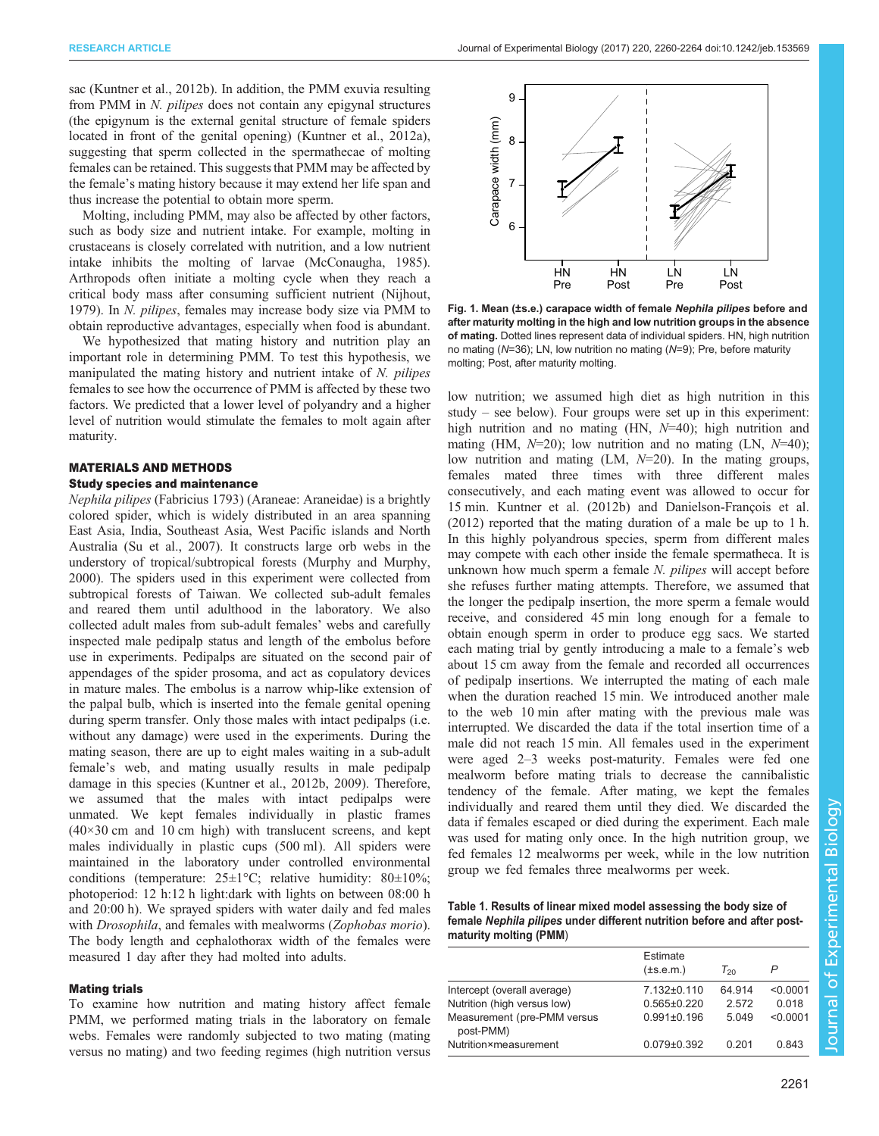<span id="page-1-0"></span>sac ([Kuntner et al., 2012b](#page-4-0)). In addition, the PMM exuvia resulting from PMM in N. pilipes does not contain any epigynal structures (the epigynum is the external genital structure of female spiders located in front of the genital opening) [\(Kuntner et al., 2012a\)](#page-4-0), suggesting that sperm collected in the spermathecae of molting females can be retained. This suggests that PMM may be affected by the female's mating history because it may extend her life span and thus increase the potential to obtain more sperm.

Molting, including PMM, may also be affected by other factors, such as body size and nutrient intake. For example, molting in crustaceans is closely correlated with nutrition, and a low nutrient intake inhibits the molting of larvae [\(McConaugha, 1985\)](#page-4-0). Arthropods often initiate a molting cycle when they reach a critical body mass after consuming sufficient nutrient ([Nijhout,](#page-4-0) [1979](#page-4-0)). In N. pilipes, females may increase body size via PMM to obtain reproductive advantages, especially when food is abundant.

We hypothesized that mating history and nutrition play an important role in determining PMM. To test this hypothesis, we manipulated the mating history and nutrient intake of N. pilipes females to see how the occurrence of PMM is affected by these two factors. We predicted that a lower level of polyandry and a higher level of nutrition would stimulate the females to molt again after maturity.

# MATERIALS AND METHODS

## Study species and maintenance

Nephila pilipes (Fabricius 1793) (Araneae: Araneidae) is a brightly colored spider, which is widely distributed in an area spanning East Asia, India, Southeast Asia, West Pacific islands and North Australia ([Su et al., 2007](#page-4-0)). It constructs large orb webs in the understory of tropical/subtropical forests [\(Murphy and Murphy,](#page-4-0) [2000](#page-4-0)). The spiders used in this experiment were collected from subtropical forests of Taiwan. We collected sub-adult females and reared them until adulthood in the laboratory. We also collected adult males from sub-adult females' webs and carefully inspected male pedipalp status and length of the embolus before use in experiments. Pedipalps are situated on the second pair of appendages of the spider prosoma, and act as copulatory devices in mature males. The embolus is a narrow whip-like extension of the palpal bulb, which is inserted into the female genital opening during sperm transfer. Only those males with intact pedipalps (i.e. without any damage) were used in the experiments. During the mating season, there are up to eight males waiting in a sub-adult female's web, and mating usually results in male pedipalp damage in this species [\(Kuntner et al., 2012b, 2009\)](#page-4-0). Therefore, we assumed that the males with intact pedipalps were unmated. We kept females individually in plastic frames  $(40\times30$  cm and 10 cm high) with translucent screens, and kept males individually in plastic cups (500 ml). All spiders were maintained in the laboratory under controlled environmental conditions (temperature:  $25 \pm 1^{\circ}$ C; relative humidity:  $80 \pm 10\%$ ; photoperiod: 12 h:12 h light:dark with lights on between 08:00 h and 20:00 h). We sprayed spiders with water daily and fed males with Drosophila, and females with mealworms (Zophobas morio). The body length and cephalothorax width of the females were measured 1 day after they had molted into adults.

#### Mating trials

To examine how nutrition and mating history affect female PMM, we performed mating trials in the laboratory on female webs. Females were randomly subjected to two mating (mating versus no mating) and two feeding regimes (high nutrition versus



Fig. 1. Mean (±s.e.) carapace width of female Nephila pilipes before and after maturity molting in the high and low nutrition groups in the absence of mating. Dotted lines represent data of individual spiders. HN, high nutrition no mating (N=36); LN, low nutrition no mating (N=9); Pre, before maturity molting; Post, after maturity molting.

low nutrition; we assumed high diet as high nutrition in this study – see below). Four groups were set up in this experiment: high nutrition and no mating (HN,  $N=40$ ); high nutrition and mating (HM,  $N=20$ ); low nutrition and no mating (LN,  $N=40$ ); low nutrition and mating  $(LM, N=20)$ . In the mating groups, females mated three times with three different males consecutively, and each mating event was allowed to occur for 15 min. [Kuntner et al. \(2012b\)](#page-4-0) and [Danielson-François et al.](#page-4-0) [\(2012\)](#page-4-0) reported that the mating duration of a male be up to 1 h. In this highly polyandrous species, sperm from different males may compete with each other inside the female spermatheca. It is unknown how much sperm a female N. pilipes will accept before she refuses further mating attempts. Therefore, we assumed that the longer the pedipalp insertion, the more sperm a female would receive, and considered 45 min long enough for a female to obtain enough sperm in order to produce egg sacs. We started each mating trial by gently introducing a male to a female's web about 15 cm away from the female and recorded all occurrences of pedipalp insertions. We interrupted the mating of each male when the duration reached 15 min. We introduced another male to the web 10 min after mating with the previous male was interrupted. We discarded the data if the total insertion time of a male did not reach 15 min. All females used in the experiment were aged 2–3 weeks post-maturity. Females were fed one mealworm before mating trials to decrease the cannibalistic tendency of the female. After mating, we kept the females individually and reared them until they died. We discarded the data if females escaped or died during the experiment. Each male was used for mating only once. In the high nutrition group, we fed females 12 mealworms per week, while in the low nutrition group we fed females three mealworms per week.

Table 1. Results of linear mixed model assessing the body size of female Nephila pilipes under different nutrition before and after postmaturity molting (PMM)

|                                          | Estimate<br>$(\pm s.e.m.)$ | $T_{20}$ |          |
|------------------------------------------|----------------------------|----------|----------|
| Intercept (overall average)              | $7.132 \pm 0.110$          | 64 914   | < 0.0001 |
| Nutrition (high versus low)              | $0.565 \pm 0.220$          | 2.572    | 0.018    |
| Measurement (pre-PMM versus<br>post-PMM) | $0.991 \pm 0.196$          | 5049     | < 0.0001 |
| Nutrition×measurement                    | $0.079 \pm 0.392$          | 0.201    | 0.843    |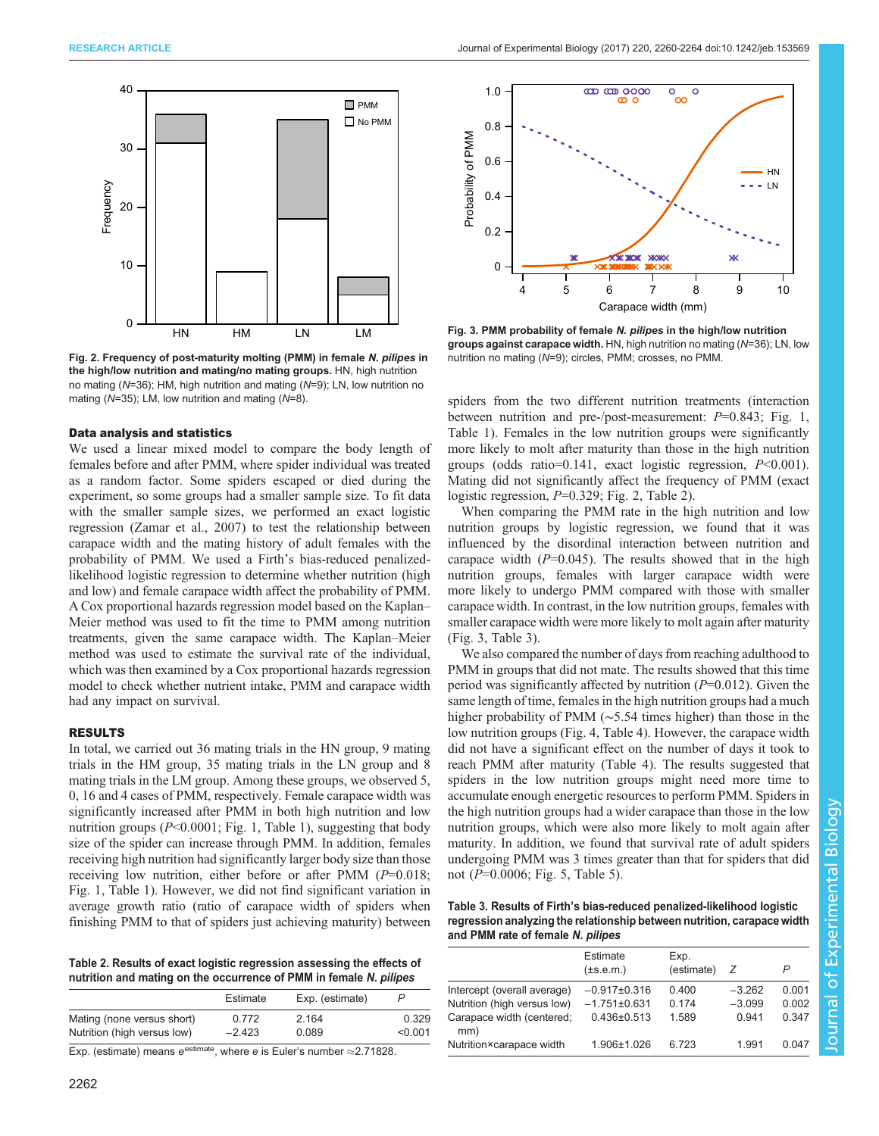<span id="page-2-0"></span>



Fig. 2. Frequency of post-maturity molting (PMM) in female N. pilipes in the high/low nutrition and mating/no mating groups. HN, high nutrition no mating (N=36); HM, high nutrition and mating (N=9); LN, low nutrition no mating ( $N=35$ ); LM, low nutrition and mating ( $N=8$ ).

#### Data analysis and statistics

We used a linear mixed model to compare the body length of females before and after PMM, where spider individual was treated as a random factor. Some spiders escaped or died during the experiment, so some groups had a smaller sample size. To fit data with the smaller sample sizes, we performed an exact logistic regression ([Zamar et al., 2007](#page-4-0)) to test the relationship between carapace width and the mating history of adult females with the probability of PMM. We used a Firth's bias-reduced penalizedlikelihood logistic regression to determine whether nutrition (high and low) and female carapace width affect the probability of PMM. A Cox proportional hazards regression model based on the Kaplan– Meier method was used to fit the time to PMM among nutrition treatments, given the same carapace width. The Kaplan–Meier method was used to estimate the survival rate of the individual, which was then examined by a Cox proportional hazards regression model to check whether nutrient intake, PMM and carapace width had any impact on survival.

# RESULTS

In total, we carried out 36 mating trials in the HN group, 9 mating trials in the HM group, 35 mating trials in the LN group and 8 mating trials in the LM group. Among these groups, we observed 5, 0, 16 and 4 cases of PMM, respectively. Female carapace width was significantly increased after PMM in both high nutrition and low nutrition groups  $(P<0.0001$ ; [Fig. 1](#page-1-0), [Table 1](#page-1-0)), suggesting that body size of the spider can increase through PMM. In addition, females receiving high nutrition had significantly larger body size than those receiving low nutrition, either before or after PMM  $(P=0.018)$ ; [Fig. 1, Table 1\)](#page-1-0). However, we did not find significant variation in average growth ratio (ratio of carapace width of spiders when finishing PMM to that of spiders just achieving maturity) between

Table 2. Results of exact logistic regression assessing the effects of nutrition and mating on the occurrence of PMM in female N. pilipes

|                             | Estimate | Exp. (estimate) | P       |
|-----------------------------|----------|-----------------|---------|
| Mating (none versus short)  | 0.772    | 2.164           | 0.329   |
| Nutrition (high versus low) | $-2.423$ | 0.089           | < 0.001 |

Exp. (estimate) means  $e^{estimate}$ , where e is Euler's number  $\approx$  2.71828.



Fig. 3. PMM probability of female N. pilipes in the high/low nutrition groups against carapace width. HN, high nutrition no mating (N=36); LN, low nutrition no mating (N=9); circles, PMM; crosses, no PMM.

spiders from the two different nutrition treatments (interaction between nutrition and pre-/post-measurement:  $P=0.843$ ; [Fig. 1,](#page-1-0) [Table 1\)](#page-1-0). Females in the low nutrition groups were significantly more likely to molt after maturity than those in the high nutrition groups (odds ratio=0.141, exact logistic regression,  $P<0.001$ ). Mating did not significantly affect the frequency of PMM (exact logistic regression,  $P=0.329$ ; Fig. 2, Table 2).

When comparing the PMM rate in the high nutrition and low nutrition groups by logistic regression, we found that it was influenced by the disordinal interaction between nutrition and carapace width  $(P=0.045)$ . The results showed that in the high nutrition groups, females with larger carapace width were more likely to undergo PMM compared with those with smaller carapace width. In contrast, in the low nutrition groups, females with smaller carapace width were more likely to molt again after maturity (Fig. 3, Table 3).

We also compared the number of days from reaching adulthood to PMM in groups that did not mate. The results showed that this time period was significantly affected by nutrition  $(P=0.012)$ . Given the same length of time, females in the high nutrition groups had a much higher probability of PMM (∼5.54 times higher) than those in the low nutrition groups ([Fig. 4, Table 4](#page-3-0)). However, the carapace width did not have a significant effect on the number of days it took to reach PMM after maturity [\(Table 4](#page-3-0)). The results suggested that spiders in the low nutrition groups might need more time to accumulate enough energetic resources to perform PMM. Spiders in the high nutrition groups had a wider carapace than those in the low nutrition groups, which were also more likely to molt again after maturity. In addition, we found that survival rate of adult spiders undergoing PMM was 3 times greater than that for spiders that did not (P=0.0006; [Fig. 5](#page-3-0), [Table 5\)](#page-3-0).

Table 3. Results of Firth's bias-reduced penalized-likelihood logistic regression analyzing the relationship between nutrition, carapace width and PMM rate of female N. pilipes

|                                  | Estimate<br>$(\pm s.e.m.)$ | Exp.<br>(estimate) | Z        | P     |
|----------------------------------|----------------------------|--------------------|----------|-------|
| Intercept (overall average)      | $-0.917\pm0.316$           | 0.400              | $-3.262$ | 0.001 |
| Nutrition (high versus low)      | $-1.751\pm0.631$           | 0.174              | $-3.099$ | 0.002 |
| Carapace width (centered;<br>mm) | $0.436 \pm 0.513$          | 1.589              | 0.941    | 0.347 |
| Nutrition×carapace width         | 1.906±1.026                | 6.723              | 1 9 9 1  | 0.047 |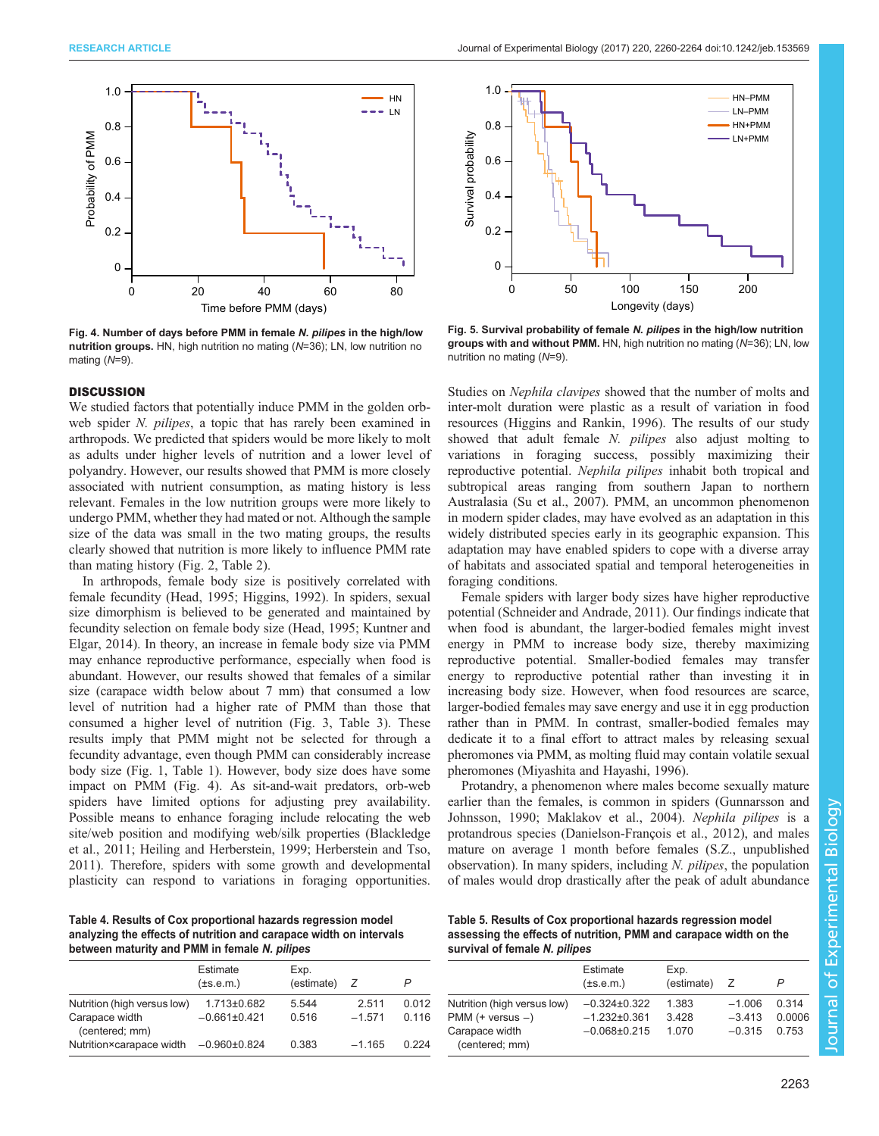<span id="page-3-0"></span>

Fig. 4. Number of days before PMM in female N. pilipes in the high/low nutrition groups. HN, high nutrition no mating (N=36); LN, low nutrition no mating (N=9).

#### **DISCUSSION**

We studied factors that potentially induce PMM in the golden orbweb spider N. pilipes, a topic that has rarely been examined in arthropods. We predicted that spiders would be more likely to molt as adults under higher levels of nutrition and a lower level of polyandry. However, our results showed that PMM is more closely associated with nutrient consumption, as mating history is less relevant. Females in the low nutrition groups were more likely to undergo PMM, whether they had mated or not. Although the sample size of the data was small in the two mating groups, the results clearly showed that nutrition is more likely to influence PMM rate than mating history [\(Fig. 2, Table 2](#page-2-0)).

In arthropods, female body size is positively correlated with female fecundity ([Head, 1995](#page-4-0); [Higgins, 1992\)](#page-4-0). In spiders, sexual size dimorphism is believed to be generated and maintained by fecundity selection on female body size ([Head, 1995; Kuntner and](#page-4-0) [Elgar, 2014\)](#page-4-0). In theory, an increase in female body size via PMM may enhance reproductive performance, especially when food is abundant. However, our results showed that females of a similar size (carapace width below about 7 mm) that consumed a low level of nutrition had a higher rate of PMM than those that consumed a higher level of nutrition ([Fig. 3](#page-2-0), [Table 3](#page-2-0)). These results imply that PMM might not be selected for through a fecundity advantage, even though PMM can considerably increase body size [\(Fig. 1](#page-1-0), [Table 1\)](#page-1-0). However, body size does have some impact on PMM (Fig. 4). As sit-and-wait predators, orb-web spiders have limited options for adjusting prey availability. Possible means to enhance foraging include relocating the web site/web position and modifying web/silk properties ([Blackledge](#page-4-0) [et al., 2011; Heiling and Herberstein, 1999; Herberstein and Tso,](#page-4-0) [2011](#page-4-0)). Therefore, spiders with some growth and developmental plasticity can respond to variations in foraging opportunities.

Table 4. Results of Cox proportional hazards regression model analyzing the effects of nutrition and carapace width on intervals between maturity and PMM in female N. pilipes

|                                  | Estimate<br>$(\pm s.e.m.)$ | Exp.<br>(estimate) | z        | P     |
|----------------------------------|----------------------------|--------------------|----------|-------|
| Nutrition (high versus low)      | $1.713 \pm 0.682$          | 5.544              | 2.511    | 0.012 |
| Carapace width<br>(centered; mm) | $-0.661\pm0.421$           | 0.516              | $-1.571$ | 0.116 |
| Nutrition×carapace width         | $-0.960\pm0.824$           | 0.383              | $-1,165$ | 0.224 |



Fig. 5. Survival probability of female N. pilipes in the high/low nutrition groups with and without PMM. HN, high nutrition no mating (N=36); LN, low nutrition no mating (N=9).

Studies on Nephila clavipes showed that the number of molts and inter-molt duration were plastic as a result of variation in food resources [\(Higgins and Rankin, 1996\)](#page-4-0). The results of our study showed that adult female N. *pilipes* also adjust molting to variations in foraging success, possibly maximizing their reproductive potential. Nephila pilipes inhabit both tropical and subtropical areas ranging from southern Japan to northern Australasia ([Su et al., 2007\)](#page-4-0). PMM, an uncommon phenomenon in modern spider clades, may have evolved as an adaptation in this widely distributed species early in its geographic expansion. This adaptation may have enabled spiders to cope with a diverse array of habitats and associated spatial and temporal heterogeneities in foraging conditions.

Female spiders with larger body sizes have higher reproductive potential [\(Schneider and Andrade, 2011](#page-4-0)). Our findings indicate that when food is abundant, the larger-bodied females might invest energy in PMM to increase body size, thereby maximizing reproductive potential. Smaller-bodied females may transfer energy to reproductive potential rather than investing it in increasing body size. However, when food resources are scarce, larger-bodied females may save energy and use it in egg production rather than in PMM. In contrast, smaller-bodied females may dedicate it to a final effort to attract males by releasing sexual pheromones via PMM, as molting fluid may contain volatile sexual pheromones ([Miyashita and Hayashi, 1996\)](#page-4-0).

Protandry, a phenomenon where males become sexually mature earlier than the females, is common in spiders [\(Gunnarsson and](#page-4-0) [Johnsson, 1990](#page-4-0); [Maklakov et al., 2004](#page-4-0)). Nephila pilipes is a protandrous species [\(Danielson-François et al., 2012\)](#page-4-0), and males mature on average 1 month before females (S.Z., unpublished observation). In many spiders, including N. pilipes, the population of males would drop drastically after the peak of adult abundance

Table 5. Results of Cox proportional hazards regression model assessing the effects of nutrition, PMM and carapace width on the survival of female N. pilipes

|                                  | Estimate<br>$(\pm s.e.m.)$ | Exp.<br>(estimate) | Z        |        |
|----------------------------------|----------------------------|--------------------|----------|--------|
| Nutrition (high versus low)      | $-0.324\pm0.322$           | 1.383              | $-1.006$ | 0.314  |
| $PMM$ (+ versus $-$ )            | $-1.232\pm0.361$           | 3428               | $-3,413$ | 0.0006 |
| Carapace width<br>(centered; mm) | $-0.068 \pm 0.215$         | 1 0 7 0            | $-0.315$ | 0 753  |